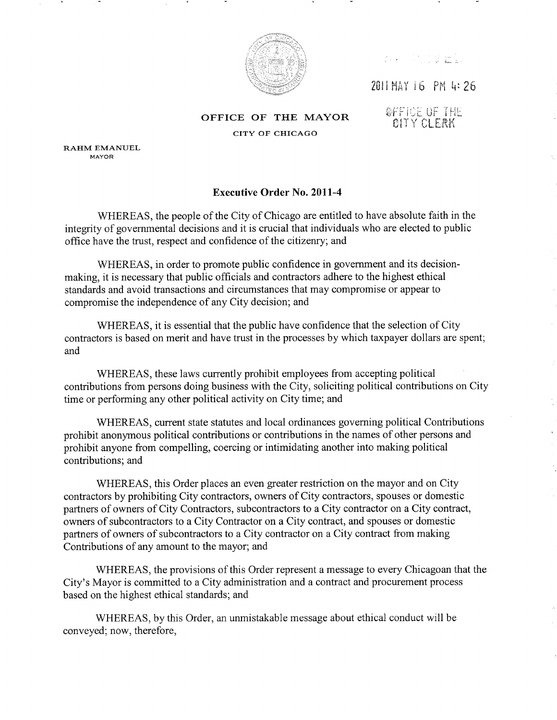

2011 MAY 16 PM 4:26

OFFICE OF THE MAYOR CITY OF CHICAGO

### **SFFICE OF THE GITY CLERK**

RAHM EMANUEL MAYOR

# **Executive Order No. 2011-4**

WHEREAS, the people of the City of Chicago are entitled to have absolute faith in the integrity of governmental decisions and it is crucial that individuals who are elected to public office have the trust, respect and confidence of the citizenry; and

WHEREAS, in order to promote public confidence in government and its decisionmaking, it is necessary that public officials and contractors adhere to the highest ethical standards and avoid transactions and circumstances that may compromise or appear to compromise the independence of any City decision; and

WHEREAS, it is essential that the public have confidence that the selection of City contractors is based on merit and have trust in the processes by which taxpayer dollars are spent; and

WHEREAS, these laws currently prohibit employees from accepting political contributions from persons doing business with the City, soliciting political contributions on City time or performing any other political activity on City time; and

WHEREAS, current state statutes and local ordinances governing political Contributions prohibit anonymous political contributions or contributions in the names of other persons and prohibit anyone from compelling, coercing or intimidating another into making political contributions; and

WHEREAS, this Order places an even greater restriction on the mayor and on City contractors by prohibiting City contractors, owners of City contractors, spouses or domestic partners of owners of City Contractors, subcontractors to a City contractor on a City contract, owners of subcontractors to a City Contractor on a City contract, and spouses or domestic partners of owners of subcontractors to a City contractor on a City contract from making Contributions of any amount to the mayor; and

WHEREAS, the provisions of this Order represent a message to every Chicagoan that the City's Mayor is committed to a City administration and a contract and procurement process based on the highest ethical standards; and

WHEREAS, by this Order, an unmistakable message about ethical conduct will be conveyed; now, therefore,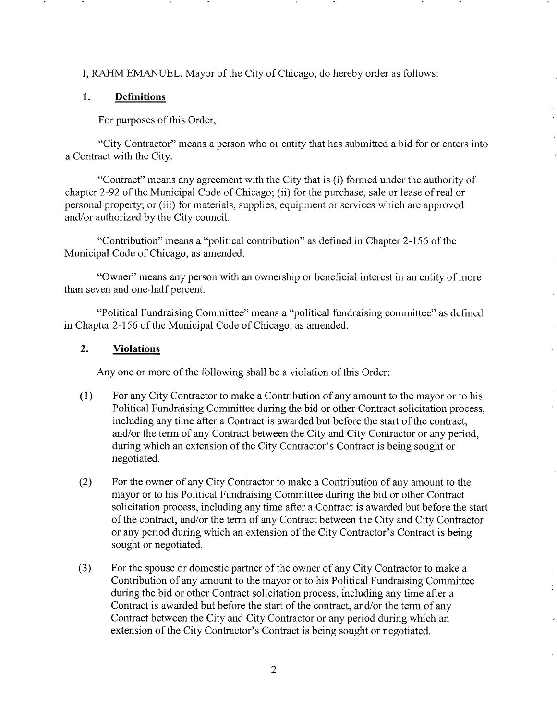I, RAHM EMANUEL, Mayor of the City of Chicago, do hereby order as follows:

# 1. Definitions

For purposes of this Order,

"City Contractor" means a person who or entity that has submitted a bid for or enters into a Contract with the City.

"Contract" means any agreement with the City that is (i) formed under the authority of chapter 2-92 of the Municipal Code of Chicago; (ii) for the purchase, sale or lease of real or personal property; or (iii) for materials, supplies, equipment or services which are approved and/or authorized by the City council.

"Contribution" means a "political contribution" as defined in Chapter 2-156 of the Municipal Code of Chicago, as amended.

"Owner" means any person with an ownership or benefìcial interest in an entity of more than seven and one-half percent.

"Political Fundraising Committee" means a "political fundraising committee" as defined in Chapter 2-156 of the Municipal Code of Chicago, as amended.

## 2. Violations

Any one or more of the following shall be a violation of this Order:

- (1) For any City Contractor to make a Contribution of any amount to the mayor or to his Political Fundraising Committee during the bid or other Contract solicitation process, including any time after a Contract is awarded but before the start of the contract, and/or the term of any Contract between the City and City Contractor or any period, during which an extension of the City Contractor's Contract is being sought or negotiated.
- (2) For the owner of any City Contractor to make a Contribution of any amount to the mayor or to his Political Fundraising Committee during the bid or other Contract solicitation process, including any time after a Contract is awarded but before the start of the contract, and/or the term of any Contract between the City and City Contractor or any period during which an extension of the City Contractor's Contract is being sought or negotiated.
- (3) For the spouse or domestic partner of the owner of any City Contractor to make <sup>a</sup> Contribution of any amount to the mayor or to his Political Fundraising Committee during the bid or other Contract solicitation process, including any time after a Contract is awarded but before the start of the contract, and/or the term of any Contract between the City and City Contractor or any period during which an extension of the City Contractor's Contract is being sought or negotiated.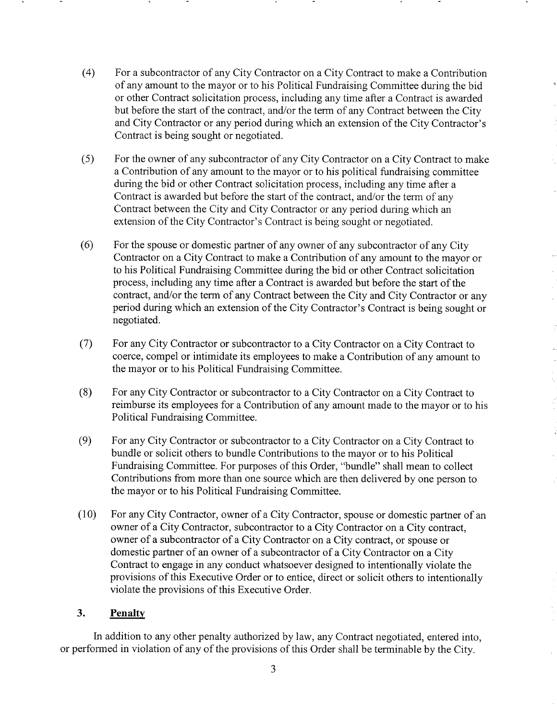- (4) For a subcontractor of any City Contractor on a City Contract to make a Contribution of any amount to the mayor or to his Political Fundraising Committee during the bid or other Contract solicitation process, including any time after a Contract is awarded but before the start of the contract, and/or the term of any Contract between the City and City Contractor or any period during which an extension of the City Contractor's Contract is being sought or negotiated.
- (5) For the owner of any subcontractor of any City Contractor on a City Contract to make a Contribution of any amount to the mayor or to his political fundraising committee during the bid or other Contract solicitation process, including any time after a Contract is awarded but before the start of the contract, and/or the term of any Contract between the City and City Contractor or any penod during which an extension of the City Contractor's Contract is being sought or negotiated.
- (6) For the spouse or domestic partner of any owner of any subcontractor of any City Contractor on a City Contract to make a Contribution of any amount to the mayor or to his Political Fundraising Committee during the bid or other Contract solicitation process, including any time after a Contract is awarded but before the start of the contract, and/or the term of any Contract between the City and City Contractor or any period during which an extension of the City Contractor's Contract is being sought or negotiated.
- (7) For any City Contractor or subcontractor to a City Contractor on a City Contract to coerce, compel or intimidate its employees to make a Contribution of any amount to the mayor or to his Political Fundraising Committee.
- (8) For any City Contractor or subcontractor to a City Contractor on a City Contract to reimburse its employees for a Contribution of any amount made to the mayor or to his Political Fundraising Committee.
- (9) For any City Contractor or subcontractor to a City Contractor on a City Contract to bundle or solicit others to bundle Contributions to the mayor or to his Political Fundraising Committee. For purposes of this Order, "bundle" shall mean to collect Contributions from more than one source which are then delivered by one person to the mayor or to his Political Fundraising Committee.
- (10) For any City Contractor, owner of a City Contractor, spouse or domestic partner of an owner of a City Contractor, subcontractor to a City Contractor on a City contract, owner of a subcontractor of a City Contractor on a City contract, or spouse or domestic partner of an owner of a subcontractor of a City Contractor on a City Contract to engage in any conduct whatsoever designed to intentionally violate the provisions of this Executive Order or to entice, direct or solicit others to intentionally violate the provisions of this Executive Order.

### 3. Penalty

In addition to any other penalty authorized by law, any Contract negotiated, entered into, or performed in violation of any of the provisions of this Order shall be terminable by the City.